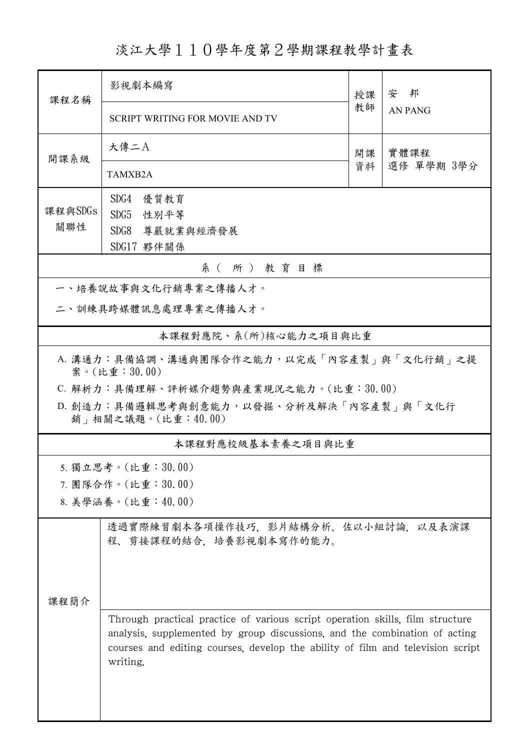淡江大學110學年度第2學期課程教學計畫表

| 課程名稱                                                            | 影視劇本編寫                                                                                                                                                                                                                                                    |    | 安 邦            |  |  |  |
|-----------------------------------------------------------------|-----------------------------------------------------------------------------------------------------------------------------------------------------------------------------------------------------------------------------------------------------------|----|----------------|--|--|--|
|                                                                 | <b>SCRIPT WRITING FOR MOVIE AND TV</b>                                                                                                                                                                                                                    | 教師 | <b>AN PANG</b> |  |  |  |
| 開課系級                                                            | 大傳二A                                                                                                                                                                                                                                                      | 開課 | 實體課程           |  |  |  |
|                                                                 | TAMXB2A                                                                                                                                                                                                                                                   | 資料 | 選修 單學期 3學分     |  |  |  |
|                                                                 | SDG4<br>優質教育                                                                                                                                                                                                                                              |    |                |  |  |  |
| 課程與SDGs<br>關聯性                                                  | SDG5<br>性別平等                                                                                                                                                                                                                                              |    |                |  |  |  |
|                                                                 | SDG8<br>尊嚴就業與經濟發展<br>SDG17 夥伴關係                                                                                                                                                                                                                           |    |                |  |  |  |
| 系(所)教育目標                                                        |                                                                                                                                                                                                                                                           |    |                |  |  |  |
| 一、培養說故事與文化行銷專業之傳播人才。                                            |                                                                                                                                                                                                                                                           |    |                |  |  |  |
| 二、訓練具跨媒體訊息處理專業之傳播人才。                                            |                                                                                                                                                                                                                                                           |    |                |  |  |  |
| 本課程對應院、系(所)核心能力之項目與比重                                           |                                                                                                                                                                                                                                                           |    |                |  |  |  |
| A. 溝通力:具備協調、溝通與團隊合作之能力,以完成「內容產製」與「文化行銷」之提<br>案。(比重:30.00)       |                                                                                                                                                                                                                                                           |    |                |  |  |  |
|                                                                 | C. 解析力:具備理解、評析媒介趨勢與產業現況之能力。(比重:30.00)                                                                                                                                                                                                                     |    |                |  |  |  |
| D. 創造力:具備邏輯思考與創意能力,以發掘、分析及解決「內容產製」與「文化行<br>銷   相關之議題。(比重:40.00) |                                                                                                                                                                                                                                                           |    |                |  |  |  |
| 本課程對應校級基本素養之項目與比重                                               |                                                                                                                                                                                                                                                           |    |                |  |  |  |
|                                                                 | 5. 獨立思考。(比重:30.00)                                                                                                                                                                                                                                        |    |                |  |  |  |
|                                                                 | 7. 團隊合作。(比重:30.00)                                                                                                                                                                                                                                        |    |                |  |  |  |
|                                                                 | 8. 美學涵養。(比重:40.00)                                                                                                                                                                                                                                        |    |                |  |  |  |
|                                                                 | 透過實際練習劇本各項操作技巧,影片結構分析、佐以小組討論,以及表演課<br>程、剪接課程的結合,培養影視劇本寫作的能力。                                                                                                                                                                                              |    |                |  |  |  |
|                                                                 |                                                                                                                                                                                                                                                           |    |                |  |  |  |
| 课程简介                                                            |                                                                                                                                                                                                                                                           |    |                |  |  |  |
|                                                                 | Through practical practice of various script operation skills, film structure<br>analysis, supplemented by group discussions, and the combination of acting<br>courses and editing courses, develop the ability of film and television script<br>writing. |    |                |  |  |  |
|                                                                 |                                                                                                                                                                                                                                                           |    |                |  |  |  |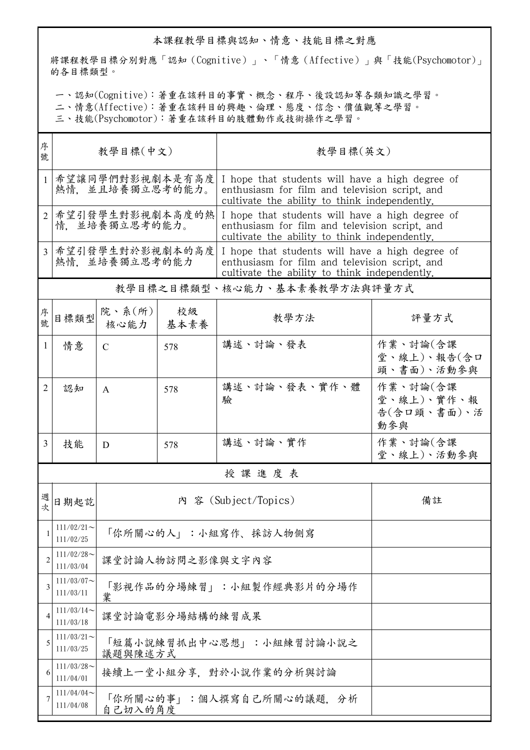## 本課程教學目標與認知、情意、技能目標之對應

將課程教學目標分別對應「認知(Cognitive)」、「情意(Affective)」與「技能(Psychomotor)」 的各目標類型。

一、認知(Cognitive):著重在該科目的事實、概念、程序、後設認知等各類知識之學習。

二、情意(Affective):著重在該科目的興趣、倫理、態度、信念、價值觀等之學習。

三、技能(Psychomotor):著重在該科目的肢體動作或技術操作之學習。

| 序<br>號         | 教學目標(中文)                                                       |                                     |            | 教學目標(英文)                                                                                                                                           |                                              |  |  |
|----------------|----------------------------------------------------------------|-------------------------------------|------------|----------------------------------------------------------------------------------------------------------------------------------------------------|----------------------------------------------|--|--|
| 1              | 希望讓同學們對影視劇本是有高度<br>熱情. 並且培養獨立思考的能力。                            |                                     |            | I hope that students will have a high degree of<br>enthusiasm for film and television script, and<br>cultivate the ability to think independently. |                                              |  |  |
| $\overline{2}$ | 希望引發學生對影視劇本高度的熱<br>情。並培養獨立思考的能力。                               |                                     |            | I hope that students will have a high degree of<br>enthusiasm for film and television script, and<br>cultivate the ability to think independently. |                                              |  |  |
| 3 <sup>1</sup> | 希望引發學生對於影視劇本的高度<br>熱情. 並培養獨立思考的能力                              |                                     |            | I hope that students will have a high degree of<br>enthusiasm for film and television script, and<br>cultivate the ability to think independently. |                                              |  |  |
|                |                                                                |                                     |            | 教學目標之目標類型、核心能力、基本素養教學方法與評量方式                                                                                                                       |                                              |  |  |
| 序號             | 目標類型                                                           | 院、系(所)<br>核心能力                      | 校級<br>基本素養 | 教學方法                                                                                                                                               | 評量方式                                         |  |  |
| 1              | 情意                                                             | $\mathcal{C}$                       | 578        | 講述、討論、發表                                                                                                                                           | 作業、討論(含課<br>堂、線上)、報告(含口<br>頭、書面)、活動參與        |  |  |
| 2              | 認知                                                             | A                                   | 578        | 講述、討論、發表、實作、體<br>驗                                                                                                                                 | 作業、討論(含課<br>堂、線上)、實作、報<br>告(含口頭、書面)、活<br>動參與 |  |  |
| 3              | 技能                                                             | D                                   | 578        | 講述、討論、實作                                                                                                                                           | 作業、討論(含課<br>堂、線上)、活動參與                       |  |  |
|                | 授課進度表                                                          |                                     |            |                                                                                                                                                    |                                              |  |  |
| 週次             | 日期起訖                                                           |                                     |            | 内 容 (Subject/Topics)                                                                                                                               | 備註                                           |  |  |
| 1              | $111/02/21$ ~<br>111/02/25                                     | 「你所關心的人」:小組寫作、採訪人物側寫                |            |                                                                                                                                                    |                                              |  |  |
| 2              | $111/02/28$ ~<br>111/03/04                                     | 課堂討論人物訪問之影像與文字內容                    |            |                                                                                                                                                    |                                              |  |  |
| 3              | $111/03/07$ ~<br>111/03/11                                     | 「影視作品的分場練習」:小組製作經典影片的分場作<br>業       |            |                                                                                                                                                    |                                              |  |  |
| 4              | $111/03/14$ ~<br>111/03/18                                     | 課堂討論電影分場結構的練習成果                     |            |                                                                                                                                                    |                                              |  |  |
| 5              | $111/03/21$ ~<br>111/03/25                                     | 「短篇小說練習抓出中心思想」:小組練習討論小說之<br>議題與陳述方式 |            |                                                                                                                                                    |                                              |  |  |
| 6              | $111/03/28$ ~<br>111/04/01                                     | 接續上一堂小組分享,對於小說作業的分析與討論              |            |                                                                                                                                                    |                                              |  |  |
| 7              | 111/04/04<br>「你所關心的事」:個人撰寫自己所關心的議題, 分析<br>111/04/08<br>自己切入的角度 |                                     |            |                                                                                                                                                    |                                              |  |  |